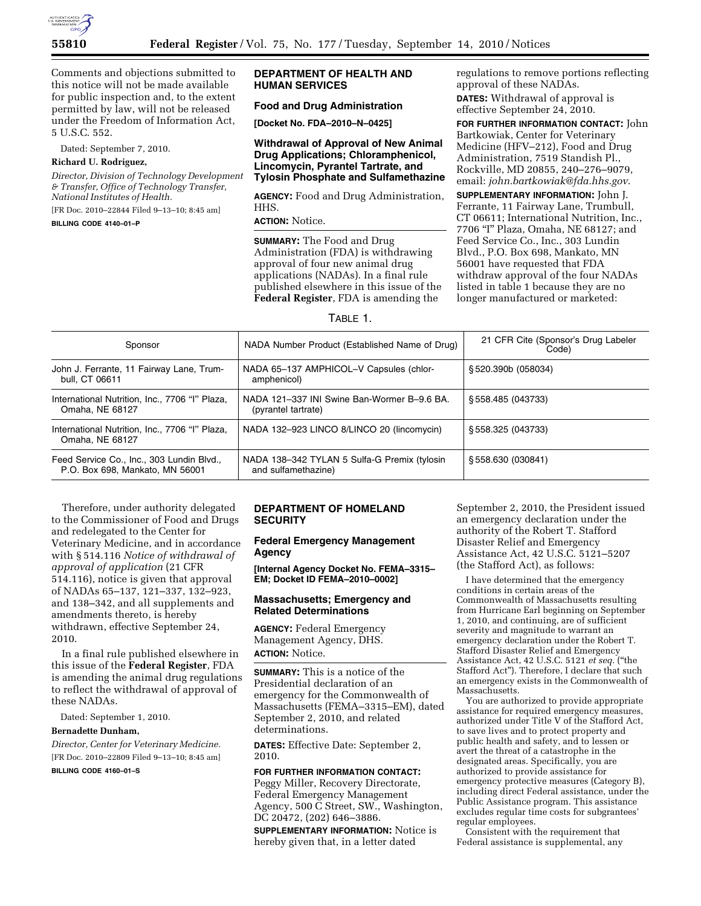

Comments and objections submitted to this notice will not be made available for public inspection and, to the extent permitted by law, will not be released under the Freedom of Information Act, 5 U.S.C. 552.

Dated: September 7, 2010.

#### **Richard U. Rodriguez,**

*Director, Division of Technology Development & Transfer, Office of Technology Transfer, National Institutes of Health.*  [FR Doc. 2010–22844 Filed 9–13–10; 8:45 am]

#### **BILLING CODE 4140–01–P**

## **DEPARTMENT OF HEALTH AND HUMAN SERVICES**

# **Food and Drug Administration**

**[Docket No. FDA–2010–N–0425]** 

## **Withdrawal of Approval of New Animal Drug Applications; Chloramphenicol, Lincomycin, Pyrantel Tartrate, and Tylosin Phosphate and Sulfamethazine**

**AGENCY:** Food and Drug Administration, HHS.

#### **ACTION:** Notice.

**SUMMARY:** The Food and Drug Administration (FDA) is withdrawing approval of four new animal drug applications (NADAs). In a final rule published elsewhere in this issue of the **Federal Register**, FDA is amending the

regulations to remove portions reflecting approval of these NADAs.

**DATES:** Withdrawal of approval is effective September 24, 2010.

**FOR FURTHER INFORMATION CONTACT:** John Bartkowiak, Center for Veterinary Medicine (HFV–212), Food and Drug Administration, 7519 Standish Pl., Rockville, MD 20855, 240–276–9079, email: *[john.bartkowiak@fda.hhs.gov](mailto:john.bartkowiak@fda.hhs.gov)*.

**SUPPLEMENTARY INFORMATION:** John J. Ferrante, 11 Fairway Lane, Trumbull, CT 06611; International Nutrition, Inc., 7706 ''I'' Plaza, Omaha, NE 68127; and Feed Service Co., Inc., 303 Lundin Blvd., P.O. Box 698, Mankato, MN 56001 have requested that FDA withdraw approval of the four NADAs listed in table 1 because they are no longer manufactured or marketed:

## TABLE 1.

| Sponsor                                                                      | NADA Number Product (Established Name of Drug)                      | 21 CFR Cite (Sponsor's Drug Labeler<br>Code) |
|------------------------------------------------------------------------------|---------------------------------------------------------------------|----------------------------------------------|
| John J. Ferrante, 11 Fairway Lane, Trum-<br>bull, CT 06611                   | NADA 65-137 AMPHICOL-V Capsules (chlor-<br>amphenicol)              | §520.390b (058034)                           |
| International Nutrition, Inc., 7706 "I" Plaza,<br>Omaha, NE 68127            | NADA 121-337 INI Swine Ban-Wormer B-9.6 BA.<br>(pyrantel tartrate)  | \$558.485 (043733)                           |
| International Nutrition, Inc., 7706 "I" Plaza,<br>Omaha, NE 68127            | NADA 132-923 LINCO 8/LINCO 20 (lincomycin)                          | \$558.325 (043733)                           |
| Feed Service Co., Inc., 303 Lundin Blvd.,<br>P.O. Box 698, Mankato, MN 56001 | NADA 138-342 TYLAN 5 Sulfa-G Premix (tylosin<br>and sulfamethazine) | \$558.630 (030841)                           |

Therefore, under authority delegated to the Commissioner of Food and Drugs and redelegated to the Center for Veterinary Medicine, and in accordance with § 514.116 *Notice of withdrawal of approval of application* (21 CFR 514.116), notice is given that approval of NADAs 65–137, 121–337, 132–923, and 138–342, and all supplements and amendments thereto, is hereby withdrawn, effective September 24, 2010.

In a final rule published elsewhere in this issue of the **Federal Register**, FDA is amending the animal drug regulations to reflect the withdrawal of approval of these NADAs.

Dated: September 1, 2010.

#### **Bernadette Dunham,**

*Director, Center for Veterinary Medicine.*  [FR Doc. 2010–22809 Filed 9–13–10; 8:45 am]

**BILLING CODE 4160–01–S** 

# **DEPARTMENT OF HOMELAND SECURITY**

#### **Federal Emergency Management Agency**

**[Internal Agency Docket No. FEMA–3315– EM; Docket ID FEMA–2010–0002]** 

#### **Massachusetts; Emergency and Related Determinations**

**AGENCY:** Federal Emergency Management Agency, DHS. **ACTION:** Notice.

**SUMMARY:** This is a notice of the Presidential declaration of an emergency for the Commonwealth of Massachusetts (FEMA–3315–EM), dated September 2, 2010, and related determinations.

**DATES:** Effective Date: September 2, 2010.

#### **FOR FURTHER INFORMATION CONTACT:**

Peggy Miller, Recovery Directorate, Federal Emergency Management Agency, 500 C Street, SW., Washington, DC 20472, (202) 646–3886.

**SUPPLEMENTARY INFORMATION:** Notice is hereby given that, in a letter dated

September 2, 2010, the President issued an emergency declaration under the authority of the Robert T. Stafford Disaster Relief and Emergency Assistance Act, 42 U.S.C. 5121–5207 (the Stafford Act), as follows:

I have determined that the emergency conditions in certain areas of the Commonwealth of Massachusetts resulting from Hurricane Earl beginning on September 1, 2010, and continuing, are of sufficient severity and magnitude to warrant an emergency declaration under the Robert T. Stafford Disaster Relief and Emergency Assistance Act, 42 U.S.C. 5121 *et seq.* (''the Stafford Act''). Therefore, I declare that such an emergency exists in the Commonwealth of Massachusetts.

You are authorized to provide appropriate assistance for required emergency measures, authorized under Title V of the Stafford Act, to save lives and to protect property and public health and safety, and to lessen or avert the threat of a catastrophe in the designated areas. Specifically, you are authorized to provide assistance for emergency protective measures (Category B), including direct Federal assistance, under the Public Assistance program. This assistance excludes regular time costs for subgrantees' regular employees.

Consistent with the requirement that Federal assistance is supplemental, any